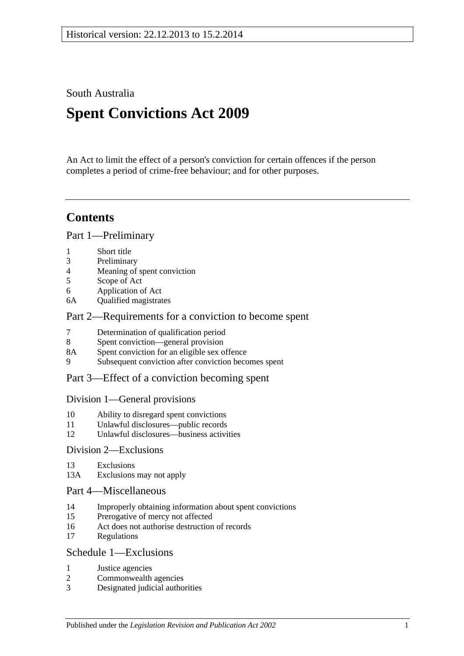South Australia

# **Spent Convictions Act 2009**

An Act to limit the effect of a person's conviction for certain offences if the person completes a period of crime-free behaviour; and for other purposes.

## **Contents**

[Part 1—Preliminary](#page-1-0)

- 1 [Short title](#page-1-1)
- 3 [Preliminary](#page-1-2)
- 4 [Meaning of spent conviction](#page-6-0)
- 5 [Scope of Act](#page-7-0)
- 6 [Application of Act](#page-7-1)
- 6A [Qualified magistrates](#page-8-0)

### [Part 2—Requirements for a conviction to become spent](#page-8-1)

- 7 [Determination of qualification period](#page-8-2)
- 8 [Spent conviction—general provision](#page-9-0)
- 8A [Spent conviction for an eligible sex offence](#page-10-0)
- 9 [Subsequent conviction after conviction becomes spent](#page-11-0)

## [Part 3—Effect of a conviction becoming spent](#page-11-1)

### [Division 1—General provisions](#page-11-2)

- 10 [Ability to disregard spent convictions](#page-11-3)
- 11 [Unlawful disclosures—public records](#page-11-4)
- 12 [Unlawful disclosures—business activities](#page-12-0)

### [Division 2—Exclusions](#page-12-1)

- 13 [Exclusions](#page-12-2)
- 13A [Exclusions may not apply](#page-13-0)

### [Part 4—Miscellaneous](#page-14-0)

- 14 [Improperly obtaining information about spent convictions](#page-14-1)
- 15 [Prerogative of mercy not affected](#page-14-2)
- 16 [Act does not authorise destruction of records](#page-14-3)
- 17 [Regulations](#page-14-4)

## [Schedule 1—Exclusions](#page-14-5)

- 1 [Justice agencies](#page-14-6)
- 2 [Commonwealth agencies](#page-15-0)
- 3 [Designated judicial authorities](#page-15-1)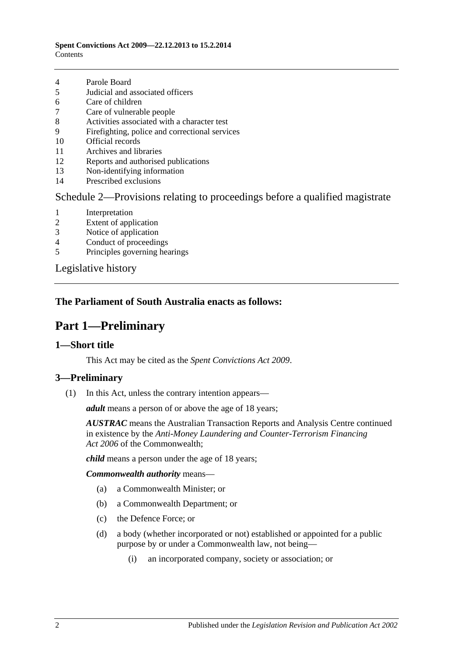#### **Spent Convictions Act 2009—22.12.2013 to 15.2.2014 Contents**

- 4 [Parole Board](#page-15-2)
- 5 [Judicial and associated officers](#page-15-3)
- 6 [Care of children](#page-16-0)
- 7 [Care of vulnerable people](#page-16-1)
- 8 [Activities associated with a character test](#page-17-0)
- 9 [Firefighting, police and correctional services](#page-17-1)
- 10 [Official records](#page-17-2)
- 11 [Archives and libraries](#page-18-0)
- 12 [Reports and authorised publications](#page-18-1)
- 13 [Non-identifying information](#page-18-2)
- 14 [Prescribed exclusions](#page-18-3)

### [Schedule 2—Provisions relating to proceedings before a qualified magistrate](#page-18-4)

- 1 [Interpretation](#page-18-5)
- 2 [Extent of application](#page-18-6)
- 3 [Notice of application](#page-18-7)
- 4 [Conduct of proceedings](#page-19-0)
- 5 [Principles governing hearings](#page-19-1)

[Legislative history](#page-21-0)

## <span id="page-1-0"></span>**The Parliament of South Australia enacts as follows:**

## **Part 1—Preliminary**

### <span id="page-1-1"></span>**1—Short title**

This Act may be cited as the *Spent Convictions Act 2009*.

## <span id="page-1-3"></span><span id="page-1-2"></span>**3—Preliminary**

(1) In this Act, unless the contrary intention appears—

*adult* means a person of or above the age of 18 years;

*AUSTRAC* means the Australian Transaction Reports and Analysis Centre continued in existence by the *Anti-Money Laundering and Counter-Terrorism Financing Act 2006* of the Commonwealth;

*child* means a person under the age of 18 years;

*Commonwealth authority* means—

- (a) a Commonwealth Minister; or
- (b) a Commonwealth Department; or
- (c) the Defence Force; or
- (d) a body (whether incorporated or not) established or appointed for a public purpose by or under a Commonwealth law, not being—
	- (i) an incorporated company, society or association; or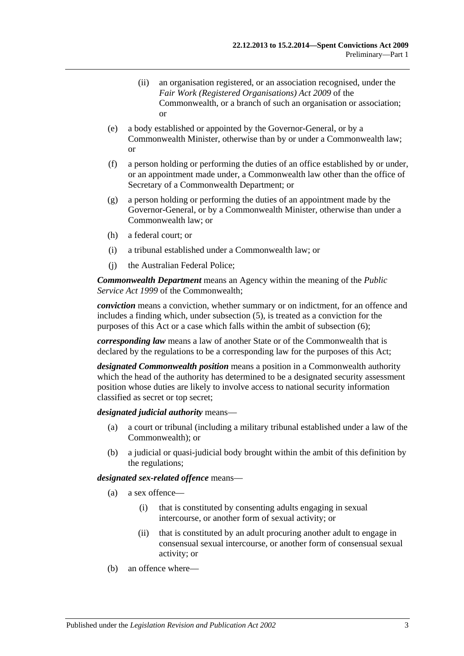- (ii) an organisation registered, or an association recognised, under the *Fair Work (Registered Organisations) Act 2009* of the Commonwealth, or a branch of such an organisation or association; or
- (e) a body established or appointed by the Governor-General, or by a Commonwealth Minister, otherwise than by or under a Commonwealth law; or
- (f) a person holding or performing the duties of an office established by or under, or an appointment made under, a Commonwealth law other than the office of Secretary of a Commonwealth Department; or
- (g) a person holding or performing the duties of an appointment made by the Governor-General, or by a Commonwealth Minister, otherwise than under a Commonwealth law; or
- (h) a federal court; or
- (i) a tribunal established under a Commonwealth law; or
- (j) the Australian Federal Police;

*Commonwealth Department* means an Agency within the meaning of the *Public Service Act 1999* of the Commonwealth;

*conviction* means a conviction, whether summary or on indictment, for an offence and includes a finding which, under [subsection](#page-6-1) (5), is treated as a conviction for the purposes of this Act or a case which falls within the ambit of [subsection](#page-6-2) (6);

*corresponding law* means a law of another State or of the Commonwealth that is declared by the regulations to be a corresponding law for the purposes of this Act;

*designated Commonwealth position* means a position in a Commonwealth authority which the head of the authority has determined to be a designated security assessment position whose duties are likely to involve access to national security information classified as secret or top secret;

#### *designated judicial authority* means—

- (a) a court or tribunal (including a military tribunal established under a law of the Commonwealth); or
- (b) a judicial or quasi-judicial body brought within the ambit of this definition by the regulations;

#### *designated sex-related offence* means—

- (a) a sex offence—
	- (i) that is constituted by consenting adults engaging in sexual intercourse, or another form of sexual activity; or
	- (ii) that is constituted by an adult procuring another adult to engage in consensual sexual intercourse, or another form of consensual sexual activity; or
- (b) an offence where—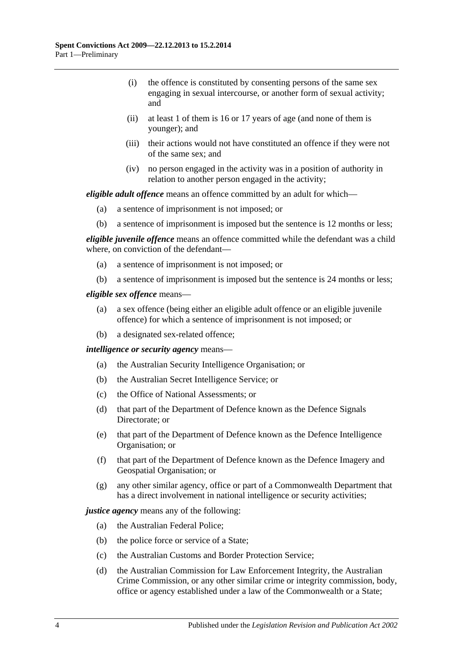- (i) the offence is constituted by consenting persons of the same sex engaging in sexual intercourse, or another form of sexual activity; and
- (ii) at least 1 of them is 16 or 17 years of age (and none of them is younger); and
- (iii) their actions would not have constituted an offence if they were not of the same sex; and
- (iv) no person engaged in the activity was in a position of authority in relation to another person engaged in the activity;

*eligible adult offence* means an offence committed by an adult for which—

- (a) a sentence of imprisonment is not imposed; or
- (b) a sentence of imprisonment is imposed but the sentence is 12 months or less;

*eligible juvenile offence* means an offence committed while the defendant was a child where, on conviction of the defendant—

- (a) a sentence of imprisonment is not imposed; or
- (b) a sentence of imprisonment is imposed but the sentence is 24 months or less;

#### *eligible sex offence* means—

- (a) a sex offence (being either an eligible adult offence or an eligible juvenile offence) for which a sentence of imprisonment is not imposed; or
- (b) a designated sex-related offence;

#### *intelligence or security agency* means—

- (a) the Australian Security Intelligence Organisation; or
- (b) the Australian Secret Intelligence Service; or
- (c) the Office of National Assessments; or
- (d) that part of the Department of Defence known as the Defence Signals Directorate; or
- (e) that part of the Department of Defence known as the Defence Intelligence Organisation; or
- (f) that part of the Department of Defence known as the Defence Imagery and Geospatial Organisation; or
- (g) any other similar agency, office or part of a Commonwealth Department that has a direct involvement in national intelligence or security activities;

#### *justice agency* means any of the following:

- (a) the Australian Federal Police;
- (b) the police force or service of a State;
- (c) the Australian Customs and Border Protection Service;
- (d) the Australian Commission for Law Enforcement Integrity, the Australian Crime Commission, or any other similar crime or integrity commission, body, office or agency established under a law of the Commonwealth or a State;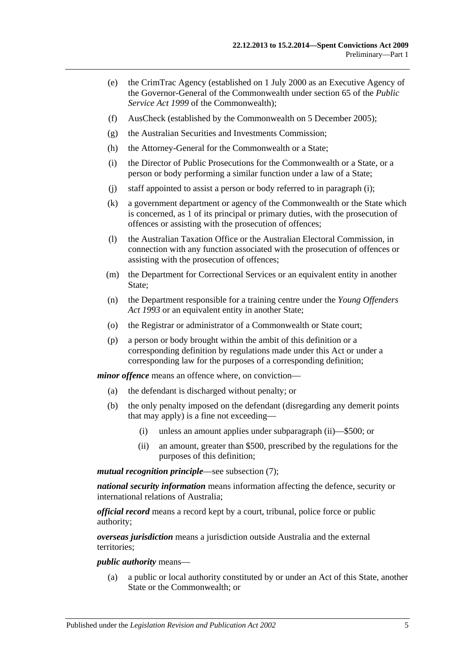- (e) the CrimTrac Agency (established on 1 July 2000 as an Executive Agency of the Governor-General of the Commonwealth under section 65 of the *Public Service Act 1999* of the Commonwealth);
- (f) AusCheck (established by the Commonwealth on 5 December 2005);
- (g) the Australian Securities and Investments Commission;
- (h) the Attorney-General for the Commonwealth or a State;
- <span id="page-4-0"></span>(i) the Director of Public Prosecutions for the Commonwealth or a State, or a person or body performing a similar function under a law of a State;
- (j) staff appointed to assist a person or body referred to in [paragraph](#page-4-0) (i);
- (k) a government department or agency of the Commonwealth or the State which is concerned, as 1 of its principal or primary duties, with the prosecution of offences or assisting with the prosecution of offences;
- (l) the Australian Taxation Office or the Australian Electoral Commission, in connection with any function associated with the prosecution of offences or assisting with the prosecution of offences;
- (m) the Department for Correctional Services or an equivalent entity in another State;
- (n) the Department responsible for a training centre under the *[Young Offenders](http://www.legislation.sa.gov.au/index.aspx?action=legref&type=act&legtitle=Young%20Offenders%20Act%201993)  Act [1993](http://www.legislation.sa.gov.au/index.aspx?action=legref&type=act&legtitle=Young%20Offenders%20Act%201993)* or an equivalent entity in another State;
- (o) the Registrar or administrator of a Commonwealth or State court;
- (p) a person or body brought within the ambit of this definition or a corresponding definition by regulations made under this Act or under a corresponding law for the purposes of a corresponding definition;

*minor offence* means an offence where, on conviction—

- (a) the defendant is discharged without penalty; or
- (b) the only penalty imposed on the defendant (disregarding any demerit points that may apply) is a fine not exceeding—
	- (i) unless an amount applies under [subparagraph](#page-4-1) (ii)—\$500; or
	- (ii) an amount, greater than \$500, prescribed by the regulations for the purposes of this definition;

<span id="page-4-1"></span>*mutual recognition principle*—see [subsection](#page-6-3) (7);

*national security information* means information affecting the defence, security or international relations of Australia;

*official record* means a record kept by a court, tribunal, police force or public authority;

*overseas jurisdiction* means a jurisdiction outside Australia and the external territories;

#### *public authority* means—

(a) a public or local authority constituted by or under an Act of this State, another State or the Commonwealth; or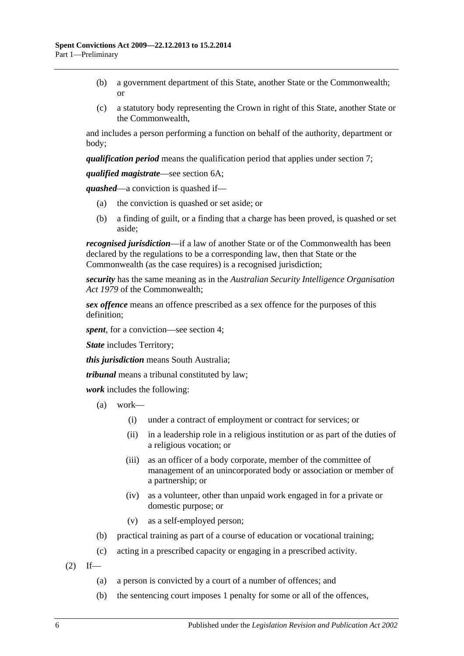- (b) a government department of this State, another State or the Commonwealth; or
- (c) a statutory body representing the Crown in right of this State, another State or the Commonwealth,

and includes a person performing a function on behalf of the authority, department or body;

*qualification period* means the qualification period that applies under [section](#page-8-2) 7;

*qualified magistrate*—see [section](#page-8-0) 6A;

*quashed*—a conviction is quashed if—

- (a) the conviction is quashed or set aside; or
- (b) a finding of guilt, or a finding that a charge has been proved, is quashed or set aside;

*recognised jurisdiction*—if a law of another State or of the Commonwealth has been declared by the regulations to be a corresponding law, then that State or the Commonwealth (as the case requires) is a recognised jurisdiction;

*security* has the same meaning as in the *Australian Security Intelligence Organisation Act 1979* of the Commonwealth;

*sex offence* means an offence prescribed as a sex offence for the purposes of this definition;

*spent*, for a conviction—see [section](#page-6-0) 4;

*State* includes Territory;

*this jurisdiction* means South Australia;

*tribunal* means a tribunal constituted by law;

*work* includes the following:

- (a) work—
	- (i) under a contract of employment or contract for services; or
	- (ii) in a leadership role in a religious institution or as part of the duties of a religious vocation; or
	- (iii) as an officer of a body corporate, member of the committee of management of an unincorporated body or association or member of a partnership; or
	- (iv) as a volunteer, other than unpaid work engaged in for a private or domestic purpose; or
	- (v) as a self-employed person;
- (b) practical training as part of a course of education or vocational training;
- (c) acting in a prescribed capacity or engaging in a prescribed activity.
- $(2)$  If—
	- (a) a person is convicted by a court of a number of offences; and
	- (b) the sentencing court imposes 1 penalty for some or all of the offences,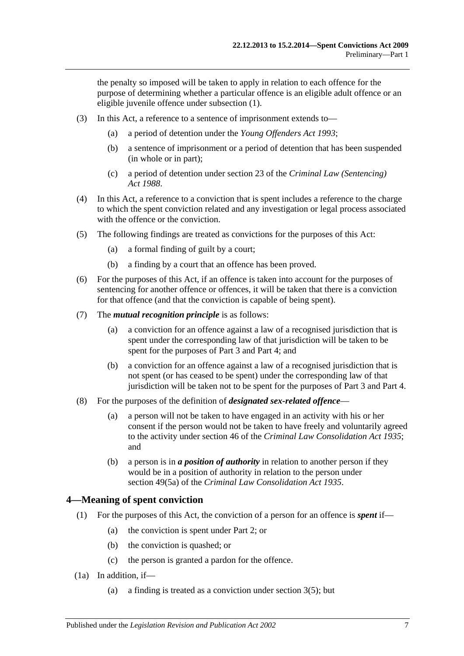the penalty so imposed will be taken to apply in relation to each offence for the purpose of determining whether a particular offence is an eligible adult offence or an eligible juvenile offence under [subsection](#page-1-3) (1).

- (3) In this Act, a reference to a sentence of imprisonment extends to—
	- (a) a period of detention under the *[Young Offenders Act](http://www.legislation.sa.gov.au/index.aspx?action=legref&type=act&legtitle=Young%20Offenders%20Act%201993) 1993*;
	- (b) a sentence of imprisonment or a period of detention that has been suspended (in whole or in part);
	- (c) a period of detention under section 23 of the *[Criminal Law \(Sentencing\)](http://www.legislation.sa.gov.au/index.aspx?action=legref&type=act&legtitle=Criminal%20Law%20(Sentencing)%20Act%201988)  Act [1988](http://www.legislation.sa.gov.au/index.aspx?action=legref&type=act&legtitle=Criminal%20Law%20(Sentencing)%20Act%201988)*.
- (4) In this Act, a reference to a conviction that is spent includes a reference to the charge to which the spent conviction related and any investigation or legal process associated with the offence or the conviction.
- <span id="page-6-1"></span>(5) The following findings are treated as convictions for the purposes of this Act:
	- (a) a formal finding of guilt by a court;
	- (b) a finding by a court that an offence has been proved.
- <span id="page-6-2"></span>(6) For the purposes of this Act, if an offence is taken into account for the purposes of sentencing for another offence or offences, it will be taken that there is a conviction for that offence (and that the conviction is capable of being spent).
- <span id="page-6-3"></span>(7) The *mutual recognition principle* is as follows:
	- (a) a conviction for an offence against a law of a recognised jurisdiction that is spent under the corresponding law of that jurisdiction will be taken to be spent for the purposes of [Part 3](#page-11-1) and [Part 4;](#page-14-0) and
	- (b) a conviction for an offence against a law of a recognised jurisdiction that is not spent (or has ceased to be spent) under the corresponding law of that jurisdiction will be taken not to be spent for the purposes of [Part 3](#page-11-1) and [Part 4.](#page-14-0)
- (8) For the purposes of the definition of *designated sex-related offence*
	- (a) a person will not be taken to have engaged in an activity with his or her consent if the person would not be taken to have freely and voluntarily agreed to the activity under section 46 of the *[Criminal Law Consolidation Act](http://www.legislation.sa.gov.au/index.aspx?action=legref&type=act&legtitle=Criminal%20Law%20Consolidation%20Act%201935) 1935*; and
	- (b) a person is in *a position of authority* in relation to another person if they would be in a position of authority in relation to the person under section 49(5a) of the *[Criminal Law Consolidation Act](http://www.legislation.sa.gov.au/index.aspx?action=legref&type=act&legtitle=Criminal%20Law%20Consolidation%20Act%201935) 1935*.

## <span id="page-6-0"></span>**4—Meaning of spent conviction**

- (1) For the purposes of this Act, the conviction of a person for an offence is *spent* if—
	- (a) the conviction is spent under [Part 2;](#page-8-1) or
	- (b) the conviction is quashed; or
	- (c) the person is granted a pardon for the offence.
- <span id="page-6-4"></span>(1a) In addition, if—
	- (a) a finding is treated as a conviction under [section](#page-6-1) 3(5); but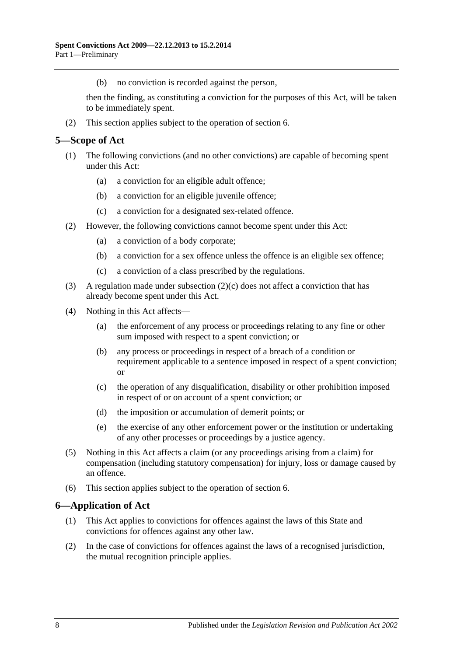(b) no conviction is recorded against the person,

then the finding, as constituting a conviction for the purposes of this Act, will be taken to be immediately spent.

(2) This section applies subject to the operation of [section](#page-7-1) 6.

### <span id="page-7-0"></span>**5—Scope of Act**

- (1) The following convictions (and no other convictions) are capable of becoming spent under this Act:
	- (a) a conviction for an eligible adult offence;
	- (b) a conviction for an eligible juvenile offence;
	- (c) a conviction for a designated sex-related offence.
- (2) However, the following convictions cannot become spent under this Act:
	- (a) a conviction of a body corporate;
	- (b) a conviction for a sex offence unless the offence is an eligible sex offence;
	- (c) a conviction of a class prescribed by the regulations.
- <span id="page-7-2"></span>(3) A regulation made under [subsection](#page-7-2) (2)(c) does not affect a conviction that has already become spent under this Act.
- (4) Nothing in this Act affects—
	- (a) the enforcement of any process or proceedings relating to any fine or other sum imposed with respect to a spent conviction; or
	- (b) any process or proceedings in respect of a breach of a condition or requirement applicable to a sentence imposed in respect of a spent conviction; or
	- (c) the operation of any disqualification, disability or other prohibition imposed in respect of or on account of a spent conviction; or
	- (d) the imposition or accumulation of demerit points; or
	- (e) the exercise of any other enforcement power or the institution or undertaking of any other processes or proceedings by a justice agency.
- (5) Nothing in this Act affects a claim (or any proceedings arising from a claim) for compensation (including statutory compensation) for injury, loss or damage caused by an offence.
- (6) This section applies subject to the operation of [section](#page-7-1) 6.

## <span id="page-7-1"></span>**6—Application of Act**

- (1) This Act applies to convictions for offences against the laws of this State and convictions for offences against any other law.
- (2) In the case of convictions for offences against the laws of a recognised jurisdiction, the mutual recognition principle applies.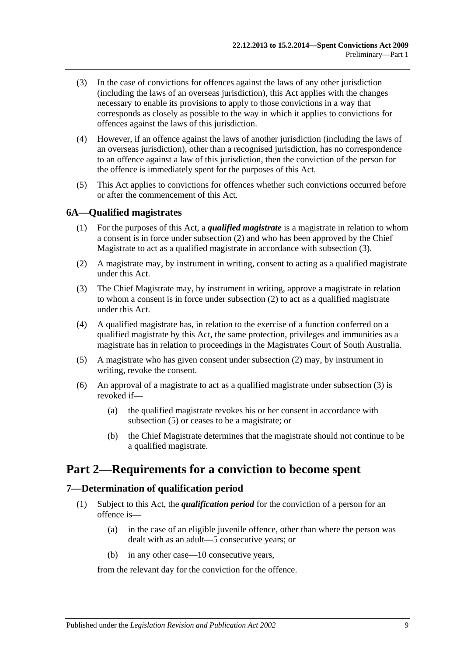- (3) In the case of convictions for offences against the laws of any other jurisdiction (including the laws of an overseas jurisdiction), this Act applies with the changes necessary to enable its provisions to apply to those convictions in a way that corresponds as closely as possible to the way in which it applies to convictions for offences against the laws of this jurisdiction.
- (4) However, if an offence against the laws of another jurisdiction (including the laws of an overseas jurisdiction), other than a recognised jurisdiction, has no correspondence to an offence against a law of this jurisdiction, then the conviction of the person for the offence is immediately spent for the purposes of this Act.
- (5) This Act applies to convictions for offences whether such convictions occurred before or after the commencement of this Act.

## <span id="page-8-0"></span>**6A—Qualified magistrates**

- (1) For the purposes of this Act, a *qualified magistrate* is a magistrate in relation to whom a consent is in force under [subsection](#page-8-3) (2) and who has been approved by the Chief Magistrate to act as a qualified magistrate in accordance with [subsection](#page-8-4) (3).
- <span id="page-8-3"></span>(2) A magistrate may, by instrument in writing, consent to acting as a qualified magistrate under this Act.
- <span id="page-8-4"></span>(3) The Chief Magistrate may, by instrument in writing, approve a magistrate in relation to whom a consent is in force under [subsection](#page-8-3) (2) to act as a qualified magistrate under this Act.
- (4) A qualified magistrate has, in relation to the exercise of a function conferred on a qualified magistrate by this Act, the same protection, privileges and immunities as a magistrate has in relation to proceedings in the Magistrates Court of South Australia.
- <span id="page-8-5"></span>(5) A magistrate who has given consent under [subsection](#page-8-3) (2) may, by instrument in writing, revoke the consent.
- (6) An approval of a magistrate to act as a qualified magistrate under [subsection](#page-8-4) (3) is revoked if—
	- (a) the qualified magistrate revokes his or her consent in accordance with [subsection](#page-8-5) (5) or ceases to be a magistrate; or
	- (b) the Chief Magistrate determines that the magistrate should not continue to be a qualified magistrate.

## <span id="page-8-1"></span>**Part 2—Requirements for a conviction to become spent**

## <span id="page-8-6"></span><span id="page-8-2"></span>**7—Determination of qualification period**

- (1) Subject to this Act, the *qualification period* for the conviction of a person for an offence is—
	- (a) in the case of an eligible juvenile offence, other than where the person was dealt with as an adult—5 consecutive years; or
	- (b) in any other case—10 consecutive years,

from the relevant day for the conviction for the offence.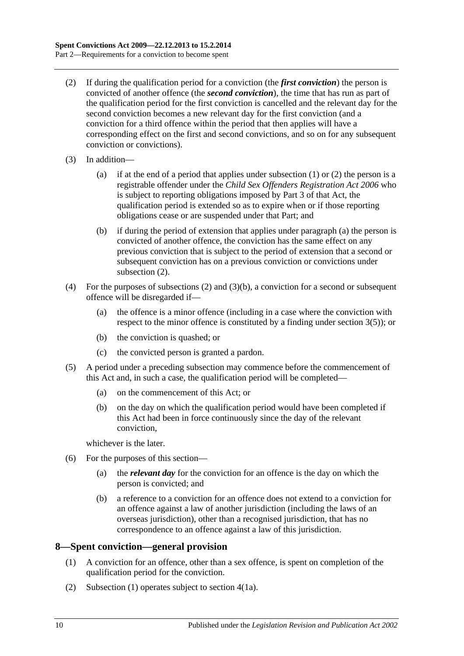- <span id="page-9-1"></span>(2) If during the qualification period for a conviction (the *first conviction*) the person is convicted of another offence (the *second conviction*), the time that has run as part of the qualification period for the first conviction is cancelled and the relevant day for the second conviction becomes a new relevant day for the first conviction (and a conviction for a third offence within the period that then applies will have a corresponding effect on the first and second convictions, and so on for any subsequent conviction or convictions).
- <span id="page-9-2"></span>(3) In addition—
	- (a) if at the end of a period that applies under [subsection](#page-8-6) (1) or [\(2\)](#page-9-1) the person is a registrable offender under the *[Child Sex Offenders Registration Act](http://www.legislation.sa.gov.au/index.aspx?action=legref&type=act&legtitle=Child%20Sex%20Offenders%20Registration%20Act%202006) 2006* who is subject to reporting obligations imposed by Part 3 of that Act, the qualification period is extended so as to expire when or if those reporting obligations cease or are suspended under that Part; and
	- (b) if during the period of extension that applies under [paragraph](#page-9-2) (a) the person is convicted of another offence, the conviction has the same effect on any previous conviction that is subject to the period of extension that a second or subsequent conviction has on a previous conviction or convictions under [subsection](#page-9-1)  $(2)$ .
- <span id="page-9-3"></span>(4) For the purposes of [subsections](#page-9-1) (2) and [\(3\)\(b\),](#page-9-3) a conviction for a second or subsequent offence will be disregarded if—
	- (a) the offence is a minor offence (including in a case where the conviction with respect to the minor offence is constituted by a finding under [section](#page-6-1) 3(5)); or
	- (b) the conviction is quashed; or
	- (c) the convicted person is granted a pardon.
- (5) A period under a preceding subsection may commence before the commencement of this Act and, in such a case, the qualification period will be completed—
	- (a) on the commencement of this Act; or
	- (b) on the day on which the qualification period would have been completed if this Act had been in force continuously since the day of the relevant conviction,

whichever is the later.

- (6) For the purposes of this section—
	- (a) the *relevant day* for the conviction for an offence is the day on which the person is convicted; and
	- (b) a reference to a conviction for an offence does not extend to a conviction for an offence against a law of another jurisdiction (including the laws of an overseas jurisdiction), other than a recognised jurisdiction, that has no correspondence to an offence against a law of this jurisdiction.

## <span id="page-9-4"></span><span id="page-9-0"></span>**8—Spent conviction—general provision**

- (1) A conviction for an offence, other than a sex offence, is spent on completion of the qualification period for the conviction.
- (2) [Subsection](#page-9-4) (1) operates subject to [section](#page-6-4) 4(1a).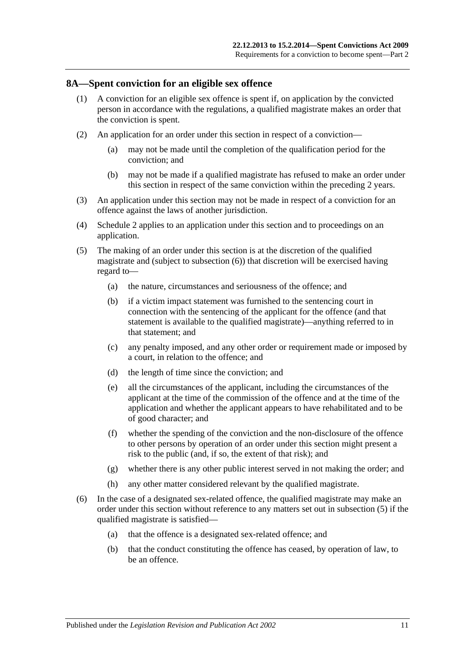#### <span id="page-10-0"></span>**8A—Spent conviction for an eligible sex offence**

- (1) A conviction for an eligible sex offence is spent if, on application by the convicted person in accordance with the regulations, a qualified magistrate makes an order that the conviction is spent.
- (2) An application for an order under this section in respect of a conviction—
	- (a) may not be made until the completion of the qualification period for the conviction; and
	- (b) may not be made if a qualified magistrate has refused to make an order under this section in respect of the same conviction within the preceding 2 years.
- (3) An application under this section may not be made in respect of a conviction for an offence against the laws of another jurisdiction.
- (4) [Schedule 2](#page-18-4) applies to an application under this section and to proceedings on an application.
- <span id="page-10-1"></span>(5) The making of an order under this section is at the discretion of the qualified magistrate and (subject to subsection (6)) that discretion will be exercised having regard to—
	- (a) the nature, circumstances and seriousness of the offence; and
	- (b) if a victim impact statement was furnished to the sentencing court in connection with the sentencing of the applicant for the offence (and that statement is available to the qualified magistrate)—anything referred to in that statement; and
	- (c) any penalty imposed, and any other order or requirement made or imposed by a court, in relation to the offence; and
	- (d) the length of time since the conviction; and
	- (e) all the circumstances of the applicant, including the circumstances of the applicant at the time of the commission of the offence and at the time of the application and whether the applicant appears to have rehabilitated and to be of good character; and
	- (f) whether the spending of the conviction and the non-disclosure of the offence to other persons by operation of an order under this section might present a risk to the public (and, if so, the extent of that risk); and
	- (g) whether there is any other public interest served in not making the order; and
	- (h) any other matter considered relevant by the qualified magistrate.
- (6) In the case of a designated sex-related offence, the qualified magistrate may make an order under this section without reference to any matters set out in [subsection](#page-10-1) (5) if the qualified magistrate is satisfied—
	- (a) that the offence is a designated sex-related offence; and
	- (b) that the conduct constituting the offence has ceased, by operation of law, to be an offence.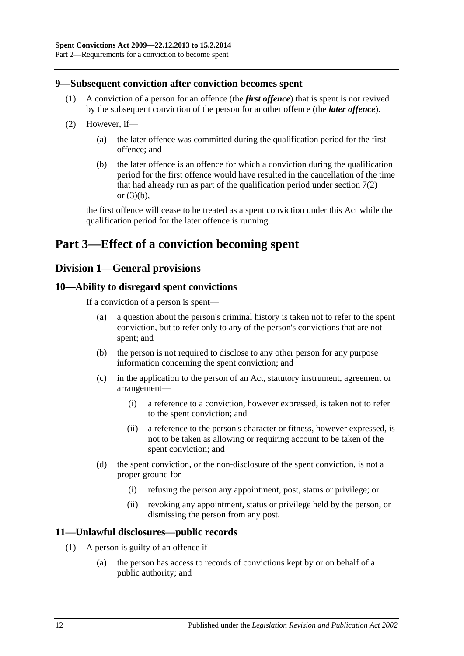### <span id="page-11-0"></span>**9—Subsequent conviction after conviction becomes spent**

- (1) A conviction of a person for an offence (the *first offence*) that is spent is not revived by the subsequent conviction of the person for another offence (the *later offence*).
- (2) However, if—
	- (a) the later offence was committed during the qualification period for the first offence; and
	- (b) the later offence is an offence for which a conviction during the qualification period for the first offence would have resulted in the cancellation of the time that had already run as part of the qualification period under [section](#page-9-1) 7(2) or [\(3\)\(b\),](#page-9-3)

the first offence will cease to be treated as a spent conviction under this Act while the qualification period for the later offence is running.

## <span id="page-11-2"></span><span id="page-11-1"></span>**Part 3—Effect of a conviction becoming spent**

## **Division 1—General provisions**

### <span id="page-11-3"></span>**10—Ability to disregard spent convictions**

If a conviction of a person is spent—

- (a) a question about the person's criminal history is taken not to refer to the spent conviction, but to refer only to any of the person's convictions that are not spent; and
- (b) the person is not required to disclose to any other person for any purpose information concerning the spent conviction; and
- (c) in the application to the person of an Act, statutory instrument, agreement or arrangement—
	- (i) a reference to a conviction, however expressed, is taken not to refer to the spent conviction; and
	- (ii) a reference to the person's character or fitness, however expressed, is not to be taken as allowing or requiring account to be taken of the spent conviction; and
- (d) the spent conviction, or the non-disclosure of the spent conviction, is not a proper ground for—
	- (i) refusing the person any appointment, post, status or privilege; or
	- (ii) revoking any appointment, status or privilege held by the person, or dismissing the person from any post.

### <span id="page-11-5"></span><span id="page-11-4"></span>**11—Unlawful disclosures—public records**

- (1) A person is guilty of an offence if—
	- (a) the person has access to records of convictions kept by or on behalf of a public authority; and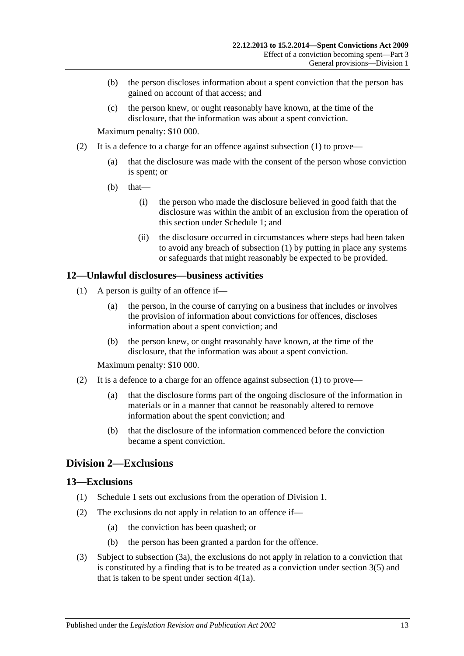- (b) the person discloses information about a spent conviction that the person has gained on account of that access; and
- (c) the person knew, or ought reasonably have known, at the time of the disclosure, that the information was about a spent conviction.

Maximum penalty: \$10 000.

- (2) It is a defence to a charge for an offence against [subsection](#page-11-5)  $(1)$  to prove—
	- (a) that the disclosure was made with the consent of the person whose conviction is spent; or
	- $(b)$  that—
		- (i) the person who made the disclosure believed in good faith that the disclosure was within the ambit of an exclusion from the operation of this section under [Schedule 1;](#page-14-5) and
		- (ii) the disclosure occurred in circumstances where steps had been taken to avoid any breach of [subsection](#page-11-5) (1) by putting in place any systems or safeguards that might reasonably be expected to be provided.

### <span id="page-12-3"></span><span id="page-12-0"></span>**12—Unlawful disclosures—business activities**

- (1) A person is guilty of an offence if—
	- (a) the person, in the course of carrying on a business that includes or involves the provision of information about convictions for offences, discloses information about a spent conviction; and
	- (b) the person knew, or ought reasonably have known, at the time of the disclosure, that the information was about a spent conviction.

Maximum penalty: \$10 000.

- (2) It is a defence to a charge for an offence against [subsection](#page-12-3)  $(1)$  to prove—
	- (a) that the disclosure forms part of the ongoing disclosure of the information in materials or in a manner that cannot be reasonably altered to remove information about the spent conviction; and
	- (b) that the disclosure of the information commenced before the conviction became a spent conviction.

## <span id="page-12-1"></span>**Division 2—Exclusions**

### <span id="page-12-2"></span>**13—Exclusions**

- (1) [Schedule 1](#page-14-5) sets out exclusions from the operation of [Division 1.](#page-11-2)
- (2) The exclusions do not apply in relation to an offence if—
	- (a) the conviction has been quashed; or
	- (b) the person has been granted a pardon for the offence.
- <span id="page-12-4"></span>(3) Subject to [subsection](#page-13-1) (3a), the exclusions do not apply in relation to a conviction that is constituted by a finding that is to be treated as a conviction under [section](#page-6-1) 3(5) and that is taken to be spent under [section](#page-6-4) 4(1a).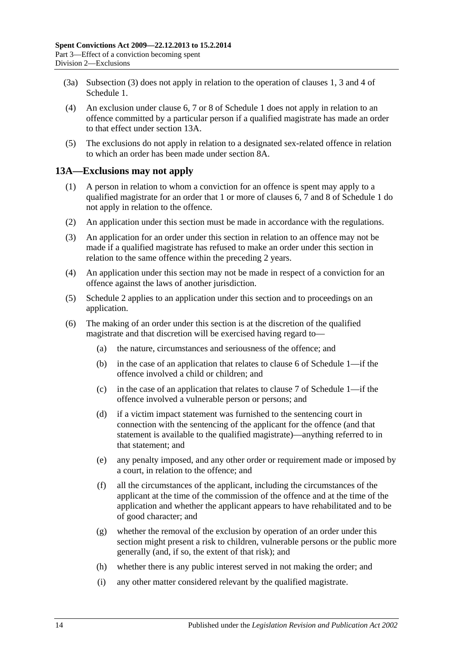- <span id="page-13-1"></span>(3a) [Subsection](#page-12-4) (3) does not apply in relation to the operation of [clauses](#page-14-6) 1, [3](#page-15-1) and [4](#page-15-2) of [Schedule 1.](#page-14-5)
- (4) An exclusion under [clause](#page-16-0) 6, [7](#page-16-1) or [8](#page-17-0) of [Schedule 1](#page-14-5) does not apply in relation to an offence committed by a particular person if a qualified magistrate has made an order to that effect under [section](#page-13-0) 13A.
- (5) The exclusions do not apply in relation to a designated sex-related offence in relation to which an order has been made under [section](#page-10-0) 8A.

## <span id="page-13-0"></span>**13A—Exclusions may not apply**

- (1) A person in relation to whom a conviction for an offence is spent may apply to a qualified magistrate for an order that 1 or more of [clauses](#page-16-0) 6, [7](#page-16-1) and [8](#page-17-0) of [Schedule 1](#page-14-5) do not apply in relation to the offence.
- (2) An application under this section must be made in accordance with the regulations.
- (3) An application for an order under this section in relation to an offence may not be made if a qualified magistrate has refused to make an order under this section in relation to the same offence within the preceding 2 years.
- (4) An application under this section may not be made in respect of a conviction for an offence against the laws of another jurisdiction.
- (5) [Schedule 2](#page-18-4) applies to an application under this section and to proceedings on an application.
- (6) The making of an order under this section is at the discretion of the qualified magistrate and that discretion will be exercised having regard to—
	- (a) the nature, circumstances and seriousness of the offence; and
	- (b) in the case of an application that relates to [clause](#page-16-0) 6 of [Schedule 1—](#page-14-5)if the offence involved a child or children; and
	- (c) in the case of an application that relates to [clause](#page-16-1) 7 of [Schedule 1—](#page-14-5)if the offence involved a vulnerable person or persons; and
	- (d) if a victim impact statement was furnished to the sentencing court in connection with the sentencing of the applicant for the offence (and that statement is available to the qualified magistrate)—anything referred to in that statement; and
	- (e) any penalty imposed, and any other order or requirement made or imposed by a court, in relation to the offence; and
	- (f) all the circumstances of the applicant, including the circumstances of the applicant at the time of the commission of the offence and at the time of the application and whether the applicant appears to have rehabilitated and to be of good character; and
	- (g) whether the removal of the exclusion by operation of an order under this section might present a risk to children, vulnerable persons or the public more generally (and, if so, the extent of that risk); and
	- (h) whether there is any public interest served in not making the order; and
	- (i) any other matter considered relevant by the qualified magistrate.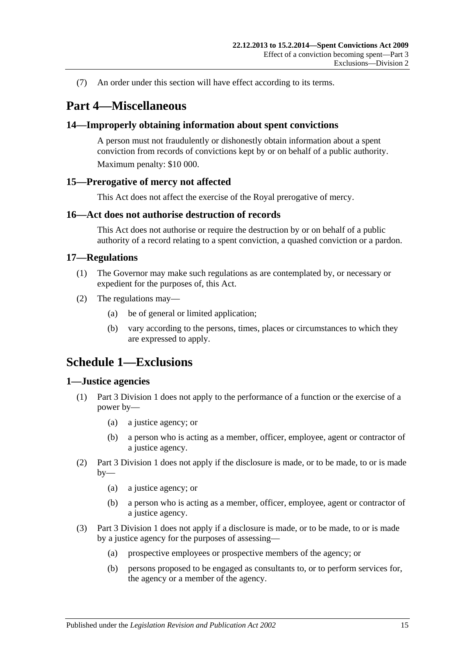(7) An order under this section will have effect according to its terms.

## <span id="page-14-0"></span>**Part 4—Miscellaneous**

## <span id="page-14-1"></span>**14—Improperly obtaining information about spent convictions**

A person must not fraudulently or dishonestly obtain information about a spent conviction from records of convictions kept by or on behalf of a public authority. Maximum penalty: \$10 000.

## <span id="page-14-2"></span>**15—Prerogative of mercy not affected**

This Act does not affect the exercise of the Royal prerogative of mercy.

### <span id="page-14-3"></span>**16—Act does not authorise destruction of records**

This Act does not authorise or require the destruction by or on behalf of a public authority of a record relating to a spent conviction, a quashed conviction or a pardon.

### <span id="page-14-4"></span>**17—Regulations**

- (1) The Governor may make such regulations as are contemplated by, or necessary or expedient for the purposes of, this Act.
- (2) The regulations may—
	- (a) be of general or limited application;
	- (b) vary according to the persons, times, places or circumstances to which they are expressed to apply.

## <span id="page-14-5"></span>**Schedule 1—Exclusions**

### <span id="page-14-6"></span>**1—Justice agencies**

- (1) [Part 3 Division 1](#page-11-2) does not apply to the performance of a function or the exercise of a power by—
	- (a) a justice agency; or
	- (b) a person who is acting as a member, officer, employee, agent or contractor of a justice agency.
- (2) [Part 3 Division 1](#page-11-2) does not apply if the disclosure is made, or to be made, to or is made  $by-$ 
	- (a) a justice agency; or
	- (b) a person who is acting as a member, officer, employee, agent or contractor of a justice agency.
- (3) [Part 3 Division 1](#page-11-2) does not apply if a disclosure is made, or to be made, to or is made by a justice agency for the purposes of assessing—
	- (a) prospective employees or prospective members of the agency; or
	- (b) persons proposed to be engaged as consultants to, or to perform services for, the agency or a member of the agency.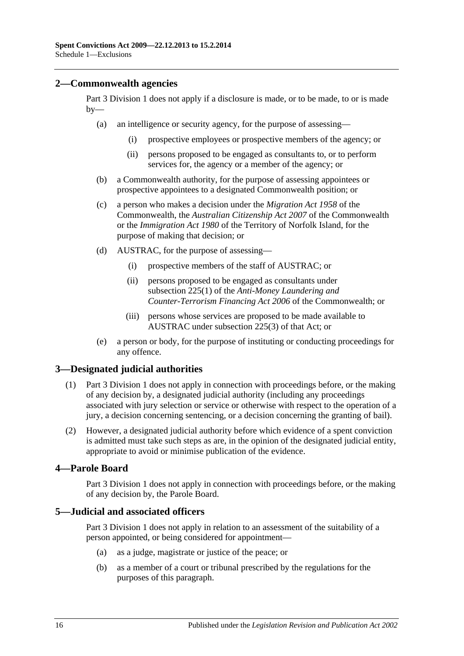### <span id="page-15-0"></span>**2—Commonwealth agencies**

[Part 3 Division 1](#page-11-2) does not apply if a disclosure is made, or to be made, to or is made  $by-$ 

- (a) an intelligence or security agency, for the purpose of assessing—
	- (i) prospective employees or prospective members of the agency; or
	- (ii) persons proposed to be engaged as consultants to, or to perform services for, the agency or a member of the agency; or
- (b) a Commonwealth authority, for the purpose of assessing appointees or prospective appointees to a designated Commonwealth position; or
- (c) a person who makes a decision under the *Migration Act 1958* of the Commonwealth, the *Australian Citizenship Act 2007* of the Commonwealth or the *Immigration Act 1980* of the Territory of Norfolk Island, for the purpose of making that decision; or
- (d) AUSTRAC, for the purpose of assessing—
	- (i) prospective members of the staff of AUSTRAC; or
	- (ii) persons proposed to be engaged as consultants under subsection 225(1) of the *Anti-Money Laundering and Counter-Terrorism Financing Act 2006* of the Commonwealth; or
	- (iii) persons whose services are proposed to be made available to AUSTRAC under subsection 225(3) of that Act; or
- (e) a person or body, for the purpose of instituting or conducting proceedings for any offence.

## <span id="page-15-1"></span>**3—Designated judicial authorities**

- (1) [Part 3 Division 1](#page-11-2) does not apply in connection with proceedings before, or the making of any decision by, a designated judicial authority (including any proceedings associated with jury selection or service or otherwise with respect to the operation of a jury, a decision concerning sentencing, or a decision concerning the granting of bail).
- (2) However, a designated judicial authority before which evidence of a spent conviction is admitted must take such steps as are, in the opinion of the designated judicial entity, appropriate to avoid or minimise publication of the evidence.

## <span id="page-15-2"></span>**4—Parole Board**

[Part 3 Division 1](#page-11-2) does not apply in connection with proceedings before, or the making of any decision by, the Parole Board.

## <span id="page-15-3"></span>**5—Judicial and associated officers**

[Part 3 Division 1](#page-11-2) does not apply in relation to an assessment of the suitability of a person appointed, or being considered for appointment—

- (a) as a judge, magistrate or justice of the peace; or
- (b) as a member of a court or tribunal prescribed by the regulations for the purposes of this paragraph.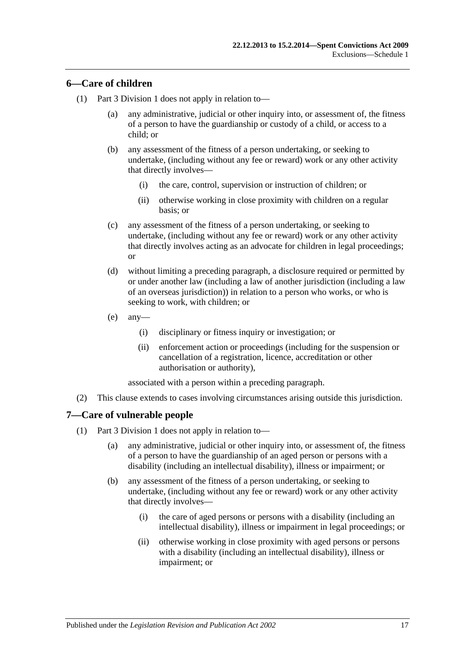## <span id="page-16-0"></span>**6—Care of children**

- (1) [Part 3 Division 1](#page-11-2) does not apply in relation to—
	- (a) any administrative, judicial or other inquiry into, or assessment of, the fitness of a person to have the guardianship or custody of a child, or access to a child; or
	- (b) any assessment of the fitness of a person undertaking, or seeking to undertake, (including without any fee or reward) work or any other activity that directly involves—
		- (i) the care, control, supervision or instruction of children; or
		- (ii) otherwise working in close proximity with children on a regular basis; or
	- (c) any assessment of the fitness of a person undertaking, or seeking to undertake, (including without any fee or reward) work or any other activity that directly involves acting as an advocate for children in legal proceedings; or
	- (d) without limiting a preceding paragraph, a disclosure required or permitted by or under another law (including a law of another jurisdiction (including a law of an overseas jurisdiction)) in relation to a person who works, or who is seeking to work, with children; or
	- (e) any—
		- (i) disciplinary or fitness inquiry or investigation; or
		- (ii) enforcement action or proceedings (including for the suspension or cancellation of a registration, licence, accreditation or other authorisation or authority),

associated with a person within a preceding paragraph.

(2) This clause extends to cases involving circumstances arising outside this jurisdiction.

### <span id="page-16-1"></span>**7—Care of vulnerable people**

- (1) [Part 3 Division 1](#page-11-2) does not apply in relation to—
	- (a) any administrative, judicial or other inquiry into, or assessment of, the fitness of a person to have the guardianship of an aged person or persons with a disability (including an intellectual disability), illness or impairment; or
	- (b) any assessment of the fitness of a person undertaking, or seeking to undertake, (including without any fee or reward) work or any other activity that directly involves—
		- (i) the care of aged persons or persons with a disability (including an intellectual disability), illness or impairment in legal proceedings; or
		- (ii) otherwise working in close proximity with aged persons or persons with a disability (including an intellectual disability), illness or impairment; or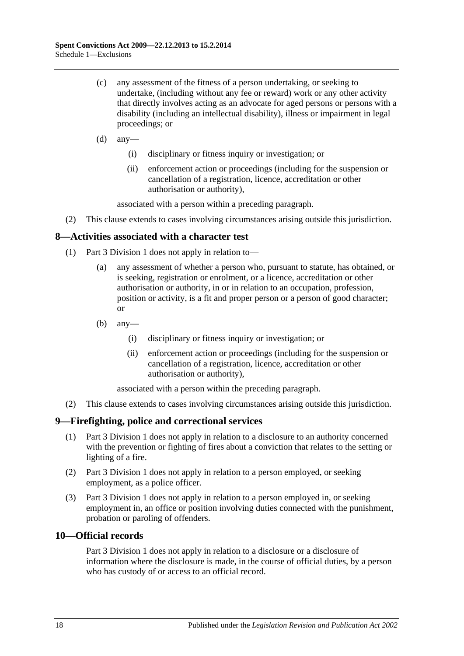- (c) any assessment of the fitness of a person undertaking, or seeking to undertake, (including without any fee or reward) work or any other activity that directly involves acting as an advocate for aged persons or persons with a disability (including an intellectual disability), illness or impairment in legal proceedings; or
- $(d)$  any-
	- (i) disciplinary or fitness inquiry or investigation; or
	- (ii) enforcement action or proceedings (including for the suspension or cancellation of a registration, licence, accreditation or other authorisation or authority),

associated with a person within a preceding paragraph.

(2) This clause extends to cases involving circumstances arising outside this jurisdiction.

## <span id="page-17-0"></span>**8—Activities associated with a character test**

- (1) [Part 3 Division 1](#page-11-2) does not apply in relation to—
	- (a) any assessment of whether a person who, pursuant to statute, has obtained, or is seeking, registration or enrolment, or a licence, accreditation or other authorisation or authority, in or in relation to an occupation, profession, position or activity, is a fit and proper person or a person of good character; or
	- (b) any—
		- (i) disciplinary or fitness inquiry or investigation; or
		- (ii) enforcement action or proceedings (including for the suspension or cancellation of a registration, licence, accreditation or other authorisation or authority),

associated with a person within the preceding paragraph.

(2) This clause extends to cases involving circumstances arising outside this jurisdiction.

### <span id="page-17-1"></span>**9—Firefighting, police and correctional services**

- (1) [Part 3 Division 1](#page-11-2) does not apply in relation to a disclosure to an authority concerned with the prevention or fighting of fires about a conviction that relates to the setting or lighting of a fire.
- (2) [Part 3 Division 1](#page-11-2) does not apply in relation to a person employed, or seeking employment, as a police officer.
- (3) [Part 3 Division 1](#page-11-2) does not apply in relation to a person employed in, or seeking employment in, an office or position involving duties connected with the punishment, probation or paroling of offenders.

## <span id="page-17-2"></span>**10—Official records**

[Part 3 Division 1](#page-11-2) does not apply in relation to a disclosure or a disclosure of information where the disclosure is made, in the course of official duties, by a person who has custody of or access to an official record.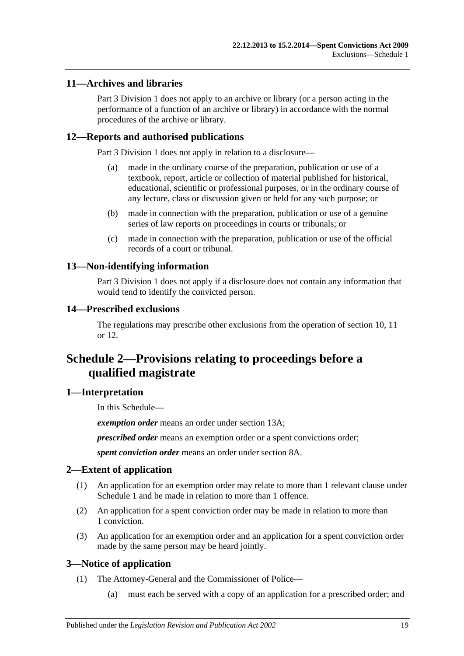## <span id="page-18-0"></span>**11—Archives and libraries**

[Part 3 Division 1](#page-11-2) does not apply to an archive or library (or a person acting in the performance of a function of an archive or library) in accordance with the normal procedures of the archive or library.

## <span id="page-18-1"></span>**12—Reports and authorised publications**

[Part 3 Division 1](#page-11-2) does not apply in relation to a disclosure—

- (a) made in the ordinary course of the preparation, publication or use of a textbook, report, article or collection of material published for historical, educational, scientific or professional purposes, or in the ordinary course of any lecture, class or discussion given or held for any such purpose; or
- (b) made in connection with the preparation, publication or use of a genuine series of law reports on proceedings in courts or tribunals; or
- (c) made in connection with the preparation, publication or use of the official records of a court or tribunal.

## <span id="page-18-2"></span>**13—Non-identifying information**

[Part 3 Division 1](#page-11-2) does not apply if a disclosure does not contain any information that would tend to identify the convicted person.

## <span id="page-18-3"></span>**14—Prescribed exclusions**

The regulations may prescribe other exclusions from the operation of [section](#page-11-3) 10, [11](#page-11-4) or [12.](#page-18-1)

## <span id="page-18-4"></span>**Schedule 2—Provisions relating to proceedings before a qualified magistrate**

## <span id="page-18-5"></span>**1—Interpretation**

In this Schedule—

*exemption order* means an order under [section](#page-13-0) 13A;

*prescribed order* means an exemption order or a spent convictions order;

*spent conviction order* means an order under [section](#page-10-0) 8A.

## <span id="page-18-6"></span>**2—Extent of application**

- (1) An application for an exemption order may relate to more than 1 relevant clause under [Schedule 1](#page-14-5) and be made in relation to more than 1 offence.
- (2) An application for a spent conviction order may be made in relation to more than 1 conviction.
- (3) An application for an exemption order and an application for a spent conviction order made by the same person may be heard jointly.

## <span id="page-18-7"></span>**3—Notice of application**

- (1) The Attorney-General and the Commissioner of Police—
	- (a) must each be served with a copy of an application for a prescribed order; and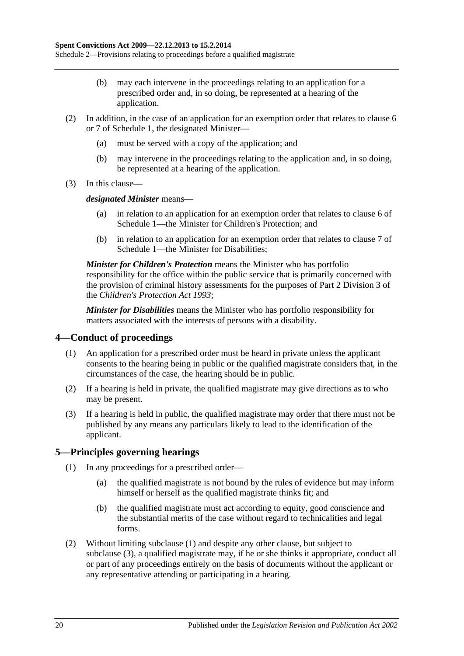Schedule 2—Provisions relating to proceedings before a qualified magistrate

- (b) may each intervene in the proceedings relating to an application for a prescribed order and, in so doing, be represented at a hearing of the application.
- (2) In addition, in the case of an application for an exemption order that relates to [clause](#page-16-0) 6 or [7](#page-16-1) of [Schedule 1,](#page-14-5) the designated Minister—
	- (a) must be served with a copy of the application; and
	- (b) may intervene in the proceedings relating to the application and, in so doing, be represented at a hearing of the application.
- (3) In this clause—

*designated Minister* means—

- (a) in relation to an application for an exemption order that relates to [clause](#page-16-0) 6 of [Schedule 1—](#page-14-5)the Minister for Children's Protection; and
- (b) in relation to an application for an exemption order that relates to [clause](#page-16-1) 7 of [Schedule 1—](#page-14-5)the Minister for Disabilities;

*Minister for Children's Protection* means the Minister who has portfolio responsibility for the office within the public service that is primarily concerned with the provision of criminal history assessments for the purposes of Part 2 Division 3 of the *[Children's Protection Act](http://www.legislation.sa.gov.au/index.aspx?action=legref&type=act&legtitle=Childrens%20Protection%20Act%201993) 1993*;

*Minister for Disabilities* means the Minister who has portfolio responsibility for matters associated with the interests of persons with a disability.

## <span id="page-19-0"></span>**4—Conduct of proceedings**

- (1) An application for a prescribed order must be heard in private unless the applicant consents to the hearing being in public or the qualified magistrate considers that, in the circumstances of the case, the hearing should be in public.
- (2) If a hearing is held in private, the qualified magistrate may give directions as to who may be present.
- (3) If a hearing is held in public, the qualified magistrate may order that there must not be published by any means any particulars likely to lead to the identification of the applicant.

### <span id="page-19-2"></span><span id="page-19-1"></span>**5—Principles governing hearings**

- (1) In any proceedings for a prescribed order—
	- (a) the qualified magistrate is not bound by the rules of evidence but may inform himself or herself as the qualified magistrate thinks fit; and
	- (b) the qualified magistrate must act according to equity, good conscience and the substantial merits of the case without regard to technicalities and legal forms.
- <span id="page-19-3"></span>(2) Without limiting [subclause](#page-19-2) (1) and despite any other clause, but subject to [subclause](#page-20-0) (3), a qualified magistrate may, if he or she thinks it appropriate, conduct all or part of any proceedings entirely on the basis of documents without the applicant or any representative attending or participating in a hearing.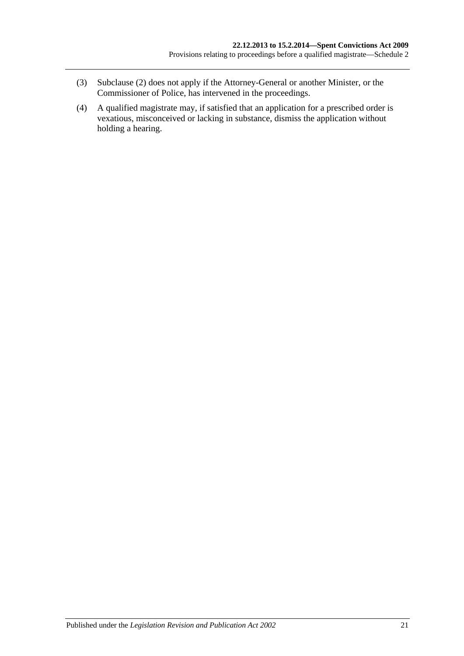- <span id="page-20-0"></span>(3) [Subclause](#page-19-3) (2) does not apply if the Attorney-General or another Minister, or the Commissioner of Police, has intervened in the proceedings.
- (4) A qualified magistrate may, if satisfied that an application for a prescribed order is vexatious, misconceived or lacking in substance, dismiss the application without holding a hearing.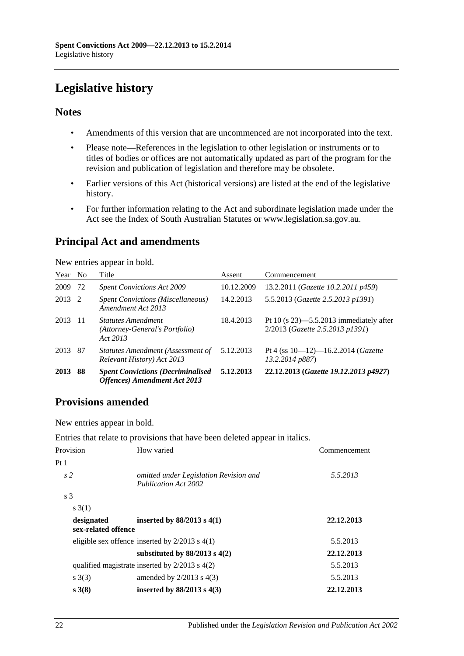# <span id="page-21-0"></span>**Legislative history**

## **Notes**

- Amendments of this version that are uncommenced are not incorporated into the text.
- Please note—References in the legislation to other legislation or instruments or to titles of bodies or offices are not automatically updated as part of the program for the revision and publication of legislation and therefore may be obsolete.
- Earlier versions of this Act (historical versions) are listed at the end of the legislative history.
- For further information relating to the Act and subordinate legislation made under the Act see the Index of South Australian Statutes or www.legislation.sa.gov.au.

## **Principal Act and amendments**

New entries appear in bold.

| Year No |     | Title                                                                             | Assent     | Commencement                                                                  |
|---------|-----|-----------------------------------------------------------------------------------|------------|-------------------------------------------------------------------------------|
| 2009    | 72  | <b>Spent Convictions Act 2009</b>                                                 | 10.12.2009 | 13.2.2011 ( <i>Gazette 10.2.2011 p459</i> )                                   |
| 2013    | -2  | <b>Spent Convictions (Miscellaneous)</b><br>Amendment Act 2013                    | 14.2.2013  | 5.5.2013 (Gazette 2.5.2013 p1391)                                             |
| 2013    | -11 | <b>Statutes Amendment</b><br>(Attorney-General's Portfolio)<br>Act 2013           | 18.4.2013  | Pt 10 (s $23$ )—5.5.2013 immediately after<br>2/2013 (Gazette 2.5.2013 p1391) |
| 2013    | 87  | Statutes Amendment (Assessment of<br>Relevant History) Act 2013                   | 5.12.2013  | Pt 4 (ss $10-12$ )-16.2.2014 ( <i>Gazette</i><br>13.2.2014 p887)              |
| 2013    | 88  | <b>Spent Convictions (Decriminalised)</b><br><b>Offences</b> ) Amendment Act 2013 | 5.12.2013  | 22.12.2013 (Gazette 19.12.2013 p4927)                                         |

## **Provisions amended**

New entries appear in bold.

Entries that relate to provisions that have been deleted appear in italics.

| Provision                         | How varied                                                            | Commencement |
|-----------------------------------|-----------------------------------------------------------------------|--------------|
| Pt1                               |                                                                       |              |
| s <sub>2</sub>                    | omitted under Legislation Revision and<br><b>Publication Act 2002</b> | 5.5.2013     |
| s <sub>3</sub>                    |                                                                       |              |
| s(3(1))                           |                                                                       |              |
| designated<br>sex-related offence | inserted by $88/2013$ s 4(1)                                          | 22.12.2013   |
|                                   | eligible sex offence inserted by $2/2013$ s $4(1)$                    | 5.5.2013     |
|                                   | substituted by $88/2013$ s $4(2)$                                     | 22.12.2013   |
|                                   | qualified magistrate inserted by $2/2013$ s $4(2)$                    | 5.5.2013     |
| s(3)                              | amended by $2/2013$ s $4(3)$                                          | 5.5.2013     |
| $s \; 3(8)$                       | inserted by $88/2013$ s $4(3)$                                        | 22.12.2013   |